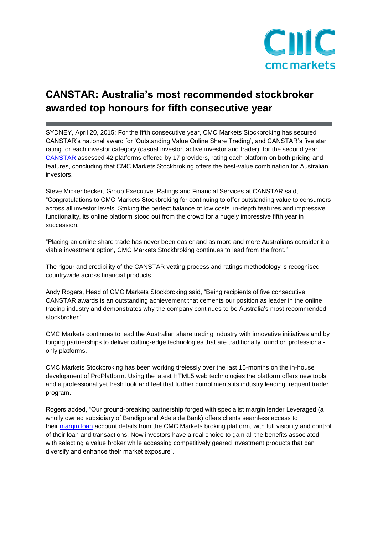

## **CANSTAR: Australia's most recommended stockbroker awarded top honours for fifth consecutive year**

SYDNEY, April 20, 2015: For the fifth consecutive year, CMC Markets Stockbroking has secured CANSTAR's national award for 'Outstanding Value Online Share Trading', and CANSTAR's five star rating for each investor category (casual investor, active investor and trader), for the second year. [CANSTAR](http://www.canstar.com.au/online-trading/) assessed 42 platforms offered by 17 providers, rating each platform on both pricing and features, concluding that CMC Markets Stockbroking offers the best-value combination for Australian investors.

Steve Mickenbecker, Group Executive, Ratings and Financial Services at CANSTAR said, "Congratulations to CMC Markets Stockbroking for continuing to offer outstanding value to consumers across all investor levels. Striking the perfect balance of low costs, in-depth features and impressive functionality, its online platform stood out from the crowd for a hugely impressive fifth year in succession.

"Placing an online share trade has never been easier and as more and more Australians consider it a viable investment option, CMC Markets Stockbroking continues to lead from the front."

The rigour and credibility of the CANSTAR vetting process and ratings methodology is recognised countrywide across financial products.

Andy Rogers, Head of CMC Markets Stockbroking said, "Being recipients of five consecutive CANSTAR awards is an outstanding achievement that cements our position as leader in the online trading industry and demonstrates why the company continues to be Australia's most recommended stockbroker".

CMC Markets continues to lead the Australian share trading industry with innovative initiatives and by forging partnerships to deliver cutting-edge technologies that are traditionally found on professionalonly platforms.

CMC Markets Stockbroking has been working tirelessly over the last 15-months on the in-house development of ProPlatform. Using the latest HTML5 web technologies the platform offers new tools and a professional yet fresh look and feel that further compliments its industry leading frequent trader program.

Rogers added, "Our ground-breaking partnership forged with specialist margin lender Leveraged (a wholly owned subsidiary of Bendigo and Adelaide Bank) offers clients seamless access to their [margin loan](http://www.leveraged.com.au/index.asp) account details from the CMC Markets broking platform, with full visibility and control of their loan and transactions. Now investors have a real choice to gain all the benefits associated with selecting a value broker while accessing competitively geared investment products that can diversify and enhance their market exposure".